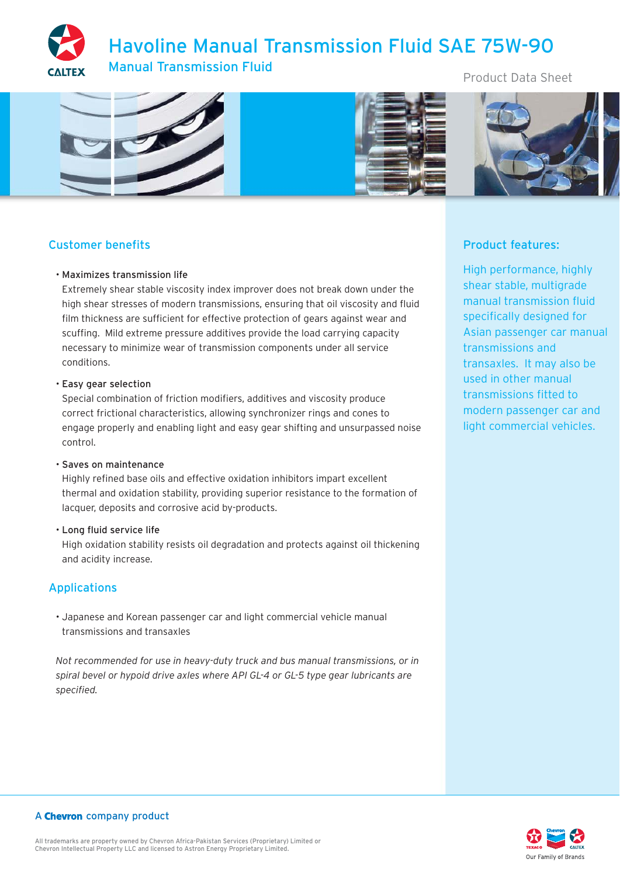# Havoline Manual Transmission Fluid SAE 75W-90 Manual Transmission Fluid

Product Data Sheet



# Customer benefits

# • Maximizes transmission life

Extremely shear stable viscosity index improver does not break down under the high shear stresses of modern transmissions, ensuring that oil viscosity and fluid film thickness are sufficient for effective protection of gears against wear and scuffing. Mild extreme pressure additives provide the load carrying capacity necessary to minimize wear of transmission components under all service conditions.

# • Easy gear selection

Special combination of friction modifiers, additives and viscosity produce correct frictional characteristics, allowing synchronizer rings and cones to engage properly and enabling light and easy gear shifting and unsurpassed noise control.

#### • Saves on maintenance

Highly refined base oils and effective oxidation inhibitors impart excellent thermal and oxidation stability, providing superior resistance to the formation of lacquer, deposits and corrosive acid by-products.

#### • Long fluid service life

High oxidation stability resists oil degradation and protects against oil thickening and acidity increase.

# Applications

• Japanese and Korean passenger car and light commercial vehicle manual transmissions and transaxles

*Not recommended for use in heavy-duty truck and bus manual transmissions, or in spiral bevel or hypoid drive axles where API GL-4 or GL-5 type gear lubricants are specified.*

# Product features:

High performance, highly shear stable, multigrade manual transmission fluid specifically designed for Asian passenger car manual transmissions and transaxles. It may also be used in other manual transmissions fitted to modern passenger car and light commercial vehicles.



# A Chevron company product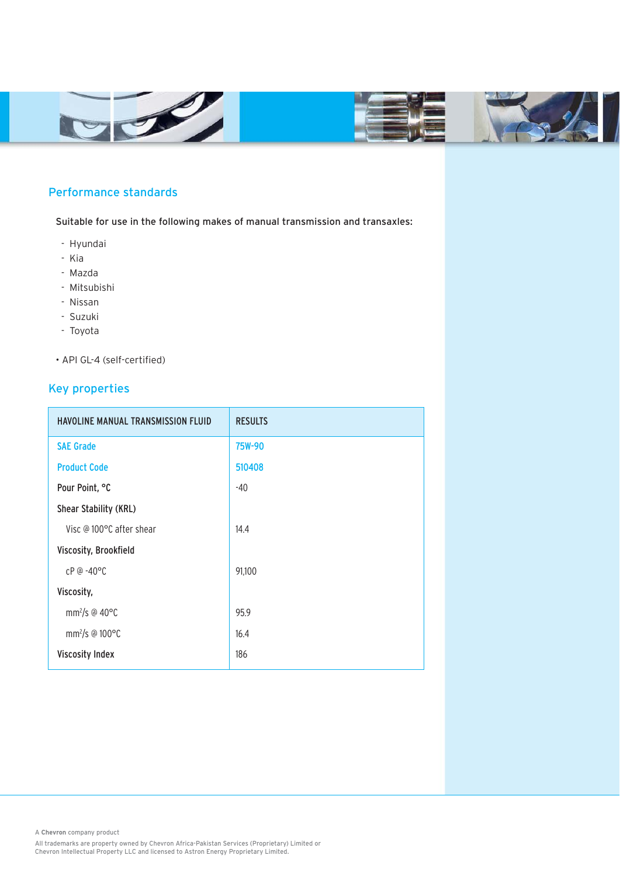



# Performance standards

Suitable for use in the following makes of manual transmission and transaxles:

- Hyundai
- Kia
- Mazda
- Mitsubishi
- Nissan
- Suzuki
- Toyota
- API GL-4 (self-certified)

# Key properties

| <b>HAVOLINE MANUAL TRANSMISSION FLUID</b> | <b>RESULTS</b> |
|-------------------------------------------|----------------|
| <b>SAE Grade</b>                          | <b>75W-90</b>  |
| <b>Product Code</b>                       | 510408         |
| Pour Point, °C                            | -40            |
| <b>Shear Stability (KRL)</b>              |                |
| Visc @ 100°C after shear                  | 14.4           |
| Viscosity, Brookfield                     |                |
| $CP @ -40°C$                              | 91,100         |
| Viscosity,                                |                |
| mm <sup>2</sup> /s @ 40 $\degree$ C       | 95.9           |
| mm <sup>2</sup> /s @ $100^{\circ}$ C      | 16.4           |
| <b>Viscosity Index</b>                    | 186            |

A **Chevron** company product

All trademarks are property owned by Chevron Africa-Pakistan Services (Proprietary) Limited or Chevron Intellectual Property LLC and licensed to Astron Energy Proprietary Limited.